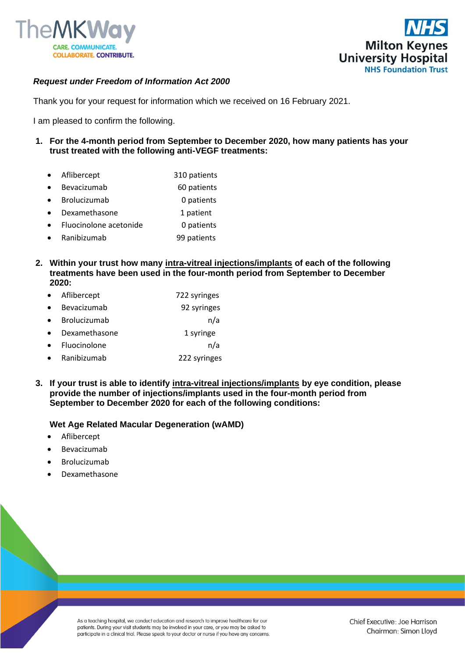



### *Request under Freedom of Information Act 2000*

Thank you for your request for information which we received on 16 February 2021.

I am pleased to confirm the following.

- **1. For the 4-month period from September to December 2020, how many patients has your trust treated with the following anti-VEGF treatments:**
	- Aflibercept 310 patients
	- Bevacizumab 60 patients
	- Brolucizumab 0 patients
	- Dexamethasone 1 patient
	- Fluocinolone acetonide 0 patients
	- Ranibizumab 99 patients
- **2. Within your trust how many intra-vitreal injections/implants of each of the following treatments have been used in the four-month period from September to December 2020:** 
	- Aflibercept 722 syringes
	- Bevacizumab 92 syringes
	- Brolucizumab n/a
	- **Dexamethasone** 1 syringe
	- Fluocinolone n/a
	- Ranibizumab 222 syringes
- **3. If your trust is able to identify intra-vitreal injections/implants by eye condition, please provide the number of injections/implants used in the four-month period from September to December 2020 for each of the following conditions:**

#### **Wet Age Related Macular Degeneration (wAMD)**

- **Aflibercept**
- **Bevacizumab**
- **Brolucizumab**
- Dexamethasone

As a teaching hospital, we conduct education and research to improve healthcare for our patients. During your visit students may be involved in your care, or you may be asked to participate in a clinical trial. Please speak to your doctor or nurse if you have any concerns.